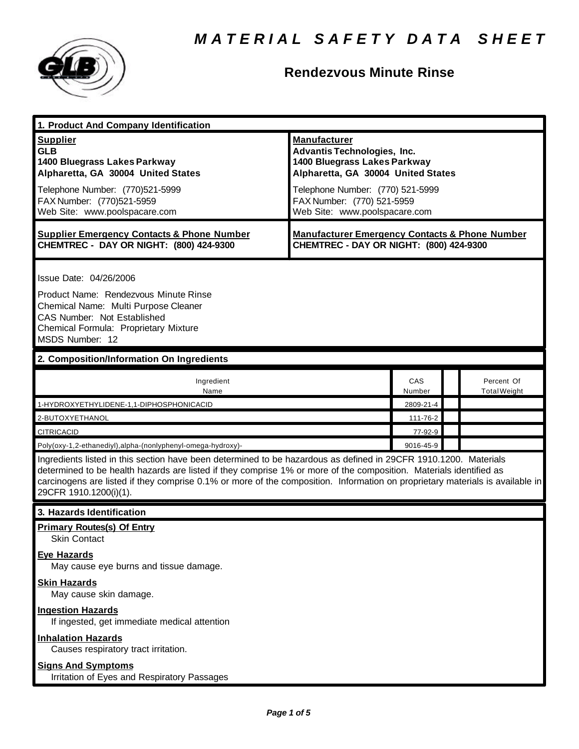

## **Rendezvous Minute Rinse**

| 1. Product And Company Identification                                                                                                                                                                                                                                                                                                                                                             |                                                                                                                                                                                                                                    |               |  |                                   |  |
|---------------------------------------------------------------------------------------------------------------------------------------------------------------------------------------------------------------------------------------------------------------------------------------------------------------------------------------------------------------------------------------------------|------------------------------------------------------------------------------------------------------------------------------------------------------------------------------------------------------------------------------------|---------------|--|-----------------------------------|--|
| <b>Supplier</b><br><b>GLB</b><br>1400 Bluegrass Lakes Parkway<br>Alpharetta, GA 30004 United States<br>Telephone Number: (770)521-5999<br>FAX Number: (770)521-5959<br>Web Site: www.poolspacare.com                                                                                                                                                                                              | <b>Manufacturer</b><br><b>Advantis Technologies, Inc.</b><br>1400 Bluegrass Lakes Parkway<br>Alpharetta, GA 30004 United States<br>Telephone Number: (770) 521-5999<br>FAX Number: (770) 521-5959<br>Web Site: www.poolspacare.com |               |  |                                   |  |
| <b>Supplier Emergency Contacts &amp; Phone Number</b><br>CHEMTREC - DAY OR NIGHT: (800) 424-9300                                                                                                                                                                                                                                                                                                  | <b>Manufacturer Emergency Contacts &amp; Phone Number</b><br>CHEMTREC - DAY OR NIGHT: (800) 424-9300                                                                                                                               |               |  |                                   |  |
| Issue Date: 04/26/2006<br>Product Name: Rendezvous Minute Rinse<br>Chemical Name: Multi Purpose Cleaner<br>CAS Number: Not Established<br>Chemical Formula: Proprietary Mixture<br>MSDS Number: 12                                                                                                                                                                                                |                                                                                                                                                                                                                                    |               |  |                                   |  |
| 2. Composition/Information On Ingredients                                                                                                                                                                                                                                                                                                                                                         |                                                                                                                                                                                                                                    |               |  |                                   |  |
| Ingredient<br>Name                                                                                                                                                                                                                                                                                                                                                                                |                                                                                                                                                                                                                                    | CAS<br>Number |  | Percent Of<br><b>Total Weight</b> |  |
| 1-HYDROXYETHYLIDENE-1,1-DIPHOSPHONICACID                                                                                                                                                                                                                                                                                                                                                          |                                                                                                                                                                                                                                    | 2809-21-4     |  |                                   |  |
| 2-BUTOXYETHANOL                                                                                                                                                                                                                                                                                                                                                                                   |                                                                                                                                                                                                                                    | 111-76-2      |  |                                   |  |
| <b>CITRICACID</b>                                                                                                                                                                                                                                                                                                                                                                                 |                                                                                                                                                                                                                                    | 77-92-9       |  |                                   |  |
| Poly(oxy-1,2-ethanediyl),alpha-(nonlyphenyl-omega-hydroxy)-                                                                                                                                                                                                                                                                                                                                       |                                                                                                                                                                                                                                    | 9016-45-9     |  |                                   |  |
| Ingredients listed in this section have been determined to be hazardous as defined in 29CFR 1910.1200. Materials<br>determined to be health hazards are listed if they comprise 1% or more of the composition. Materials identified as<br>carcinogens are listed if they comprise 0.1% or more of the composition. Information on proprietary materials is available in<br>29CFR 1910.1200(i)(1). |                                                                                                                                                                                                                                    |               |  |                                   |  |
| 3. Hazards Identification                                                                                                                                                                                                                                                                                                                                                                         |                                                                                                                                                                                                                                    |               |  |                                   |  |
| <b>Primary Routes(s) Of Entry</b><br>Skin Contact<br><b>Eye Hazards</b><br>May cause eye burns and tissue damage.                                                                                                                                                                                                                                                                                 |                                                                                                                                                                                                                                    |               |  |                                   |  |
| <b>Skin Hazards</b><br>May cause skin damage.                                                                                                                                                                                                                                                                                                                                                     |                                                                                                                                                                                                                                    |               |  |                                   |  |
| <b>Ingestion Hazards</b><br>If ingested, get immediate medical attention                                                                                                                                                                                                                                                                                                                          |                                                                                                                                                                                                                                    |               |  |                                   |  |
| <b>Inhalation Hazards</b><br>Causes respiratory tract irritation.                                                                                                                                                                                                                                                                                                                                 |                                                                                                                                                                                                                                    |               |  |                                   |  |
| <b>Signs And Symptoms</b><br>Irritation of Eyes and Respiratory Passages                                                                                                                                                                                                                                                                                                                          |                                                                                                                                                                                                                                    |               |  |                                   |  |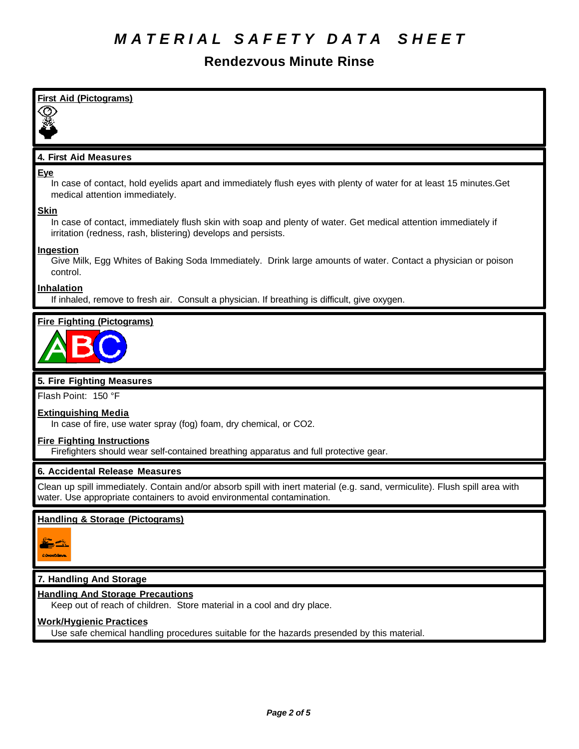## **Rendezvous Minute Rinse**

| <b>First Aid (Pictograms)</b>                                                                                                                                                                          |
|--------------------------------------------------------------------------------------------------------------------------------------------------------------------------------------------------------|
|                                                                                                                                                                                                        |
| 4. First Aid Measures                                                                                                                                                                                  |
| <u>Eye</u><br>In case of contact, hold eyelids apart and immediately flush eyes with plenty of water for at least 15 minutes. Get<br>medical attention immediately.                                    |
| <b>Skin</b><br>In case of contact, immediately flush skin with soap and plenty of water. Get medical attention immediately if<br>irritation (redness, rash, blistering) develops and persists.         |
| <b>Ingestion</b><br>Give Milk, Egg Whites of Baking Soda Immediately. Drink large amounts of water. Contact a physician or poison<br>control.                                                          |
| <b>Inhalation</b><br>If inhaled, remove to fresh air. Consult a physician. If breathing is difficult, give oxygen.                                                                                     |
| <b>Fire Fighting (Pictograms)</b>                                                                                                                                                                      |
|                                                                                                                                                                                                        |
| 5. Fire Fighting Measures                                                                                                                                                                              |
| Flash Point: 150 °F                                                                                                                                                                                    |
| <b>Extinguishing Media</b><br>In case of fire, use water spray (fog) foam, dry chemical, or CO2.                                                                                                       |
| <b>Fire Fighting Instructions</b><br>Firefighters should wear self-contained breathing apparatus and full protective gear.                                                                             |
| 6. Accidental Release Measures                                                                                                                                                                         |
| Clean up spill immediately. Contain and/or absorb spill with inert material (e.g. sand, vermiculite). Flush spill area with<br>water. Use appropriate containers to avoid environmental contamination. |
| <b>Handling &amp; Storage (Pictograms)</b>                                                                                                                                                             |
|                                                                                                                                                                                                        |
| 7. Handling And Storage                                                                                                                                                                                |

Keep out of reach of children. Store material in a cool and dry place.

#### **Work/Hygienic Practices**

Use safe chemical handling procedures suitable for the hazards presended by this material.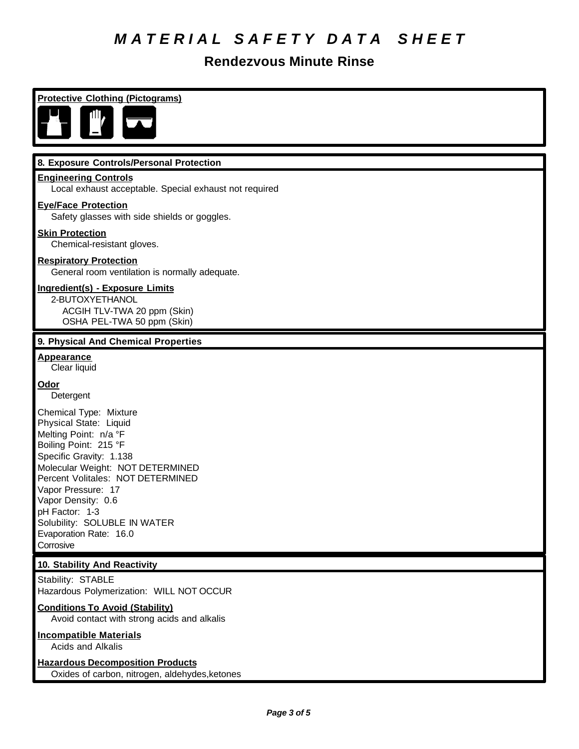# *M A T E R I A L S A F E T Y D A T A S H E E T*

## **Rendezvous Minute Rinse**

**Protective Clothing (Pictograms)**



#### **8. Exposure Controls/Personal Protection**

#### **Engineering Controls**

Local exhaust acceptable. Special exhaust not required

#### **Eye/Face Protection**

Safety glasses with side shields or goggles.

#### **Skin Protection**

Chemical-resistant gloves.

#### **Respiratory Protection**

General room ventilation is normally adequate.

#### **Ingredient(s) - Exposure Limits**

2-BUTOXYETHANOL ACGIH TLV-TWA 20 ppm (Skin) OSHA PEL-TWA 50 ppm (Skin)

#### **9. Physical And Chemical Properties**

**Appearance** Clear liquid

#### **Odor**

Detergent

Chemical Type: Mixture Physical State: Liquid Melting Point: n/a °F Boiling Point: 215 °F Specific Gravity: 1.138 Molecular Weight: NOT DETERMINED Percent Volitales: NOT DETERMINED Vapor Pressure: 17 Vapor Density: 0.6 pH Factor: 1-3 Solubility: SOLUBLE IN WATER Evaporation Rate: 16.0 Corrosive

#### **10. Stability And Reactivity**

Stability: STABLE Hazardous Polymerization: WILL NOT OCCUR

#### **Conditions To Avoid (Stability)**

Avoid contact with strong acids and alkalis

### **Incompatible Materials**

Acids and Alkalis

## **Hazardous Decomposition Products**

Oxides of carbon, nitrogen, aldehydes,ketones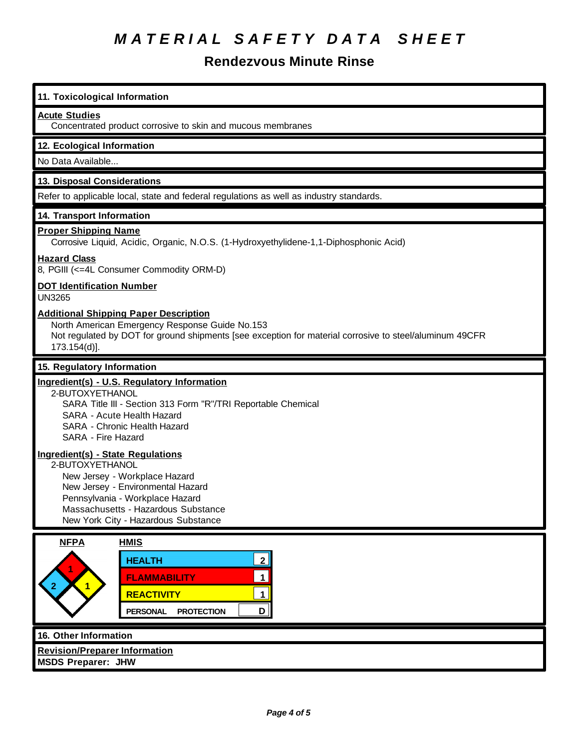# *M A T E R I A L S A F E T Y D A T A S H E E T*

## **Rendezvous Minute Rinse**

| 11. Toxicological Information                                                                                                                                                                                                               |
|---------------------------------------------------------------------------------------------------------------------------------------------------------------------------------------------------------------------------------------------|
| <b>Acute Studies</b><br>Concentrated product corrosive to skin and mucous membranes                                                                                                                                                         |
| 12. Ecological Information                                                                                                                                                                                                                  |
| No Data Available                                                                                                                                                                                                                           |
| 13. Disposal Considerations                                                                                                                                                                                                                 |
| Refer to applicable local, state and federal regulations as well as industry standards.                                                                                                                                                     |
| 14. Transport Information<br><b>Proper Shipping Name</b><br>Corrosive Liquid, Acidic, Organic, N.O.S. (1-Hydroxyethylidene-1,1-Diphosphonic Acid)                                                                                           |
| <b>Hazard Class</b><br>8, PGIII (<=4L Consumer Commodity ORM-D)                                                                                                                                                                             |
| <b>DOT Identification Number</b><br><b>UN3265</b>                                                                                                                                                                                           |
| <b>Additional Shipping Paper Description</b><br>North American Emergency Response Guide No.153<br>Not regulated by DOT for ground shipments [see exception for material corrosive to steel/aluminum 49CFR<br>173.154(d)].                   |
| 15. Regulatory Information                                                                                                                                                                                                                  |
| Ingredient(s) - U.S. Regulatory Information<br>2-BUTOXYETHANOL<br>SARA Title III - Section 313 Form "R"/TRI Reportable Chemical<br><b>SARA - Acute Health Hazard</b><br>SARA - Chronic Health Hazard<br>SARA - Fire Hazard                  |
| Ingredient(s) - State Regulations<br>2-BUTOXYETHANOL<br>New Jersey - Workplace Hazard<br>New Jersey - Environmental Hazard<br>Pennsylvania - Workplace Hazard<br>Massachusetts - Hazardous Substance<br>New York City - Hazardous Substance |
| <b>NFPA</b><br><b>HMIS</b><br>$2\parallel$<br><b>HEALTH</b><br>$\mathbf{1}$<br><b>FLAMMABILITY</b><br>$\blacksquare$<br><b>REACTIVITY</b><br>$\mathbf 1$<br>D<br><b>PERSONAL</b><br><b>PROTECTION</b>                                       |
| 16. Other Information<br><b>Revision/Preparer Information</b>                                                                                                                                                                               |

**MSDS Preparer: JHW**